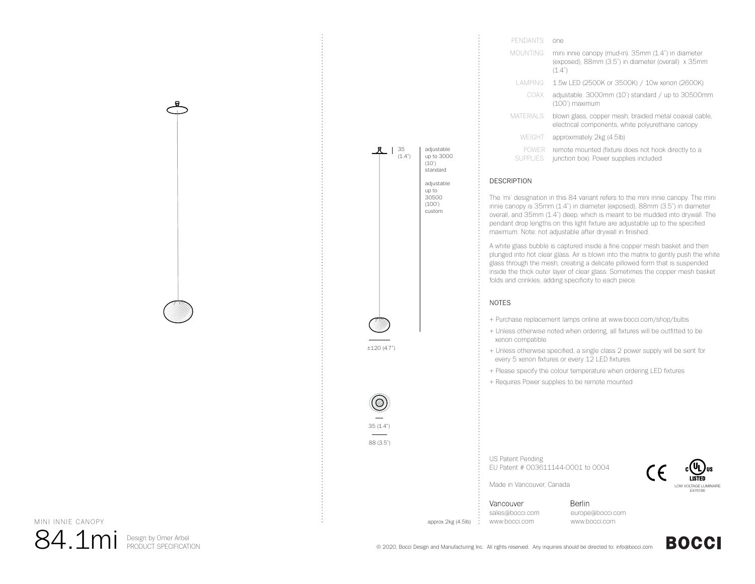| 요 |                                    |
|---|------------------------------------|
|   |                                    |
|   |                                    |
|   |                                    |
|   |                                    |
|   |                                    |
|   |                                    |
|   |                                    |
|   |                                    |
|   |                                    |
|   |                                    |
|   |                                    |
|   |                                    |
|   |                                    |
|   |                                    |
|   |                                    |
|   |                                    |
|   |                                    |
|   |                                    |
|   |                                    |
|   |                                    |
|   |                                    |
|   |                                    |
|   |                                    |
|   |                                    |
|   |                                    |
|   |                                    |
|   |                                    |
|   |                                    |
|   |                                    |
|   |                                    |
|   | $\mathbb{Z}$                       |
|   |                                    |
|   |                                    |
|   |                                    |
|   | ±12                                |
|   |                                    |
|   |                                    |
|   |                                    |
|   |                                    |
|   |                                    |
|   |                                    |
|   |                                    |
|   |                                    |
|   |                                    |
|   |                                    |
|   |                                    |
|   | $\frac{25}{35}$<br>$\frac{35}{88}$ |
|   |                                    |
|   |                                    |
|   |                                    |
|   |                                    |
|   |                                    |
|   |                                    |
|   |                                    |
|   |                                    |
|   |                                    |
|   |                                    |



| PENDANTS <sup>.</sup> | one                                                                                                                  |
|-----------------------|----------------------------------------------------------------------------------------------------------------------|
| MOUNTING:             | mini innie canopy (mud-in). 35mm (1.4") in diameter<br>(exposed), 88mm (3.5") in diameter (overall) x 35mm<br>(1.4") |
| I AMPING:             | 1.5w LED (2500K or 3500K) / 10w xenon (2600K)                                                                        |
| COAX:                 | adjustable. 3000mm (10') standard / up to 30500mm<br>(100') maximum                                                  |
| MATERIALS:            | blown glass, copper mesh, braided metal coaxial cable,<br>electrical components, white polyurethane canopy           |
| <b>WEIGHT:</b>        | approximately 2kg (4.5lb)                                                                                            |
| POWER<br>SUPPLIES:    | remote mounted (fixture does not hook directly to a<br>junction box). Power supplies included                        |
|                       |                                                                                                                      |

## DESCRIPTION

The 'mi' designation in this 84 variant refers to the mini innie canopy. The mini innie canopy is 35mm (1.4") in diameter (exposed), 88mm (3.5") in diameter overall, and 35mm (1.4") deep, which is meant to be mudded into drywall. The pendant drop lengths on this light fixture are adjustable up to the specified maximum. Note: not adjustable after drywall in finished.

A white glass bubble is captured inside a fine copper mesh basket and then plunged into hot clear glass. Air is blown into the matrix to gently push the white glass through the mesh, creating a delicate pillowed form that is suspended inside the thick outer layer of clear glass. Sometimes the copper mesh basket folds and crinkles, adding specificity to each piece.

## NOTES

- + Purchase replacement lamps online at www.bocci.com/shop/bulbs
- + Unless otherwise noted when ordering, all fixtures will be outfitted to be xenon compatible
- + Unless otherwise specified, a single class 2 power supply will be sent for every 5 xenon fixtures or every 12 LED fixtures
- + Please specify the colour temperature when ordering LED fixtures
- + Requires Power supplies to be remote mounted

US Patent Pending EU Patent # 003611144-0001 to 0004



Made in Vancouver, Canada

Vancouver sales@bocci.com approx 2kg (4.5lb) www.bocci.com

Berlin europe@bocci.com www.bocci.com



MINI INNIE CANOPY

84.1mi Design by Omer Arbel